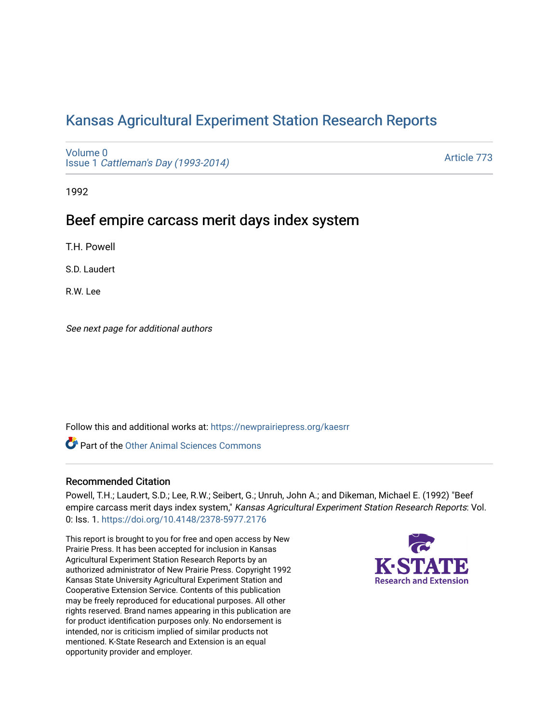# [Kansas Agricultural Experiment Station Research Reports](https://newprairiepress.org/kaesrr)

[Volume 0](https://newprairiepress.org/kaesrr/vol0) Issue 1 [Cattleman's Day \(1993-2014\)](https://newprairiepress.org/kaesrr/vol0/iss1) 

[Article 773](https://newprairiepress.org/kaesrr/vol0/iss1/773) 

1992

## Beef empire carcass merit days index system

T.H. Powell

S.D. Laudert

R.W. Lee

See next page for additional authors

Follow this and additional works at: [https://newprairiepress.org/kaesrr](https://newprairiepress.org/kaesrr?utm_source=newprairiepress.org%2Fkaesrr%2Fvol0%2Fiss1%2F773&utm_medium=PDF&utm_campaign=PDFCoverPages) 

**C** Part of the [Other Animal Sciences Commons](http://network.bepress.com/hgg/discipline/82?utm_source=newprairiepress.org%2Fkaesrr%2Fvol0%2Fiss1%2F773&utm_medium=PDF&utm_campaign=PDFCoverPages)

## Recommended Citation

Powell, T.H.; Laudert, S.D.; Lee, R.W.; Seibert, G.; Unruh, John A.; and Dikeman, Michael E. (1992) "Beef empire carcass merit days index system," Kansas Agricultural Experiment Station Research Reports: Vol. 0: Iss. 1.<https://doi.org/10.4148/2378-5977.2176>

This report is brought to you for free and open access by New Prairie Press. It has been accepted for inclusion in Kansas Agricultural Experiment Station Research Reports by an authorized administrator of New Prairie Press. Copyright 1992 Kansas State University Agricultural Experiment Station and Cooperative Extension Service. Contents of this publication may be freely reproduced for educational purposes. All other rights reserved. Brand names appearing in this publication are for product identification purposes only. No endorsement is intended, nor is criticism implied of similar products not mentioned. K-State Research and Extension is an equal opportunity provider and employer.

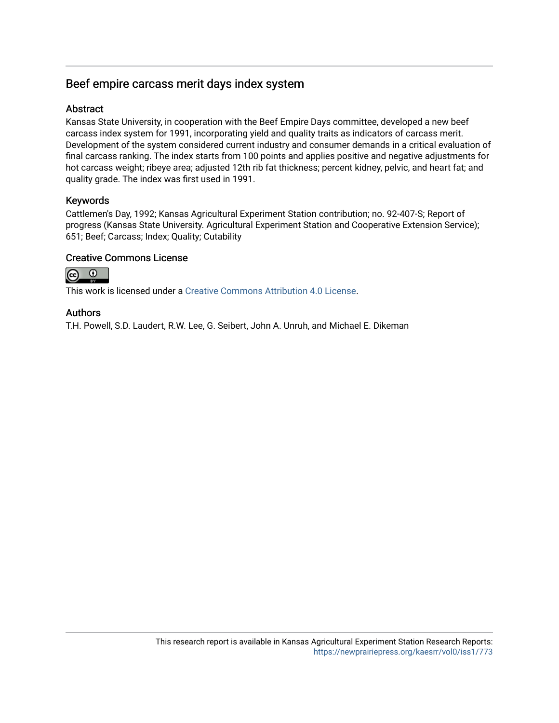## Beef empire carcass merit days index system

## **Abstract**

Kansas State University, in cooperation with the Beef Empire Days committee, developed a new beef carcass index system for 1991, incorporating yield and quality traits as indicators of carcass merit. Development of the system considered current industry and consumer demands in a critical evaluation of final carcass ranking. The index starts from 100 points and applies positive and negative adjustments for hot carcass weight; ribeye area; adjusted 12th rib fat thickness; percent kidney, pelvic, and heart fat; and quality grade. The index was first used in 1991.

## Keywords

Cattlemen's Day, 1992; Kansas Agricultural Experiment Station contribution; no. 92-407-S; Report of progress (Kansas State University. Agricultural Experiment Station and Cooperative Extension Service); 651; Beef; Carcass; Index; Quality; Cutability

## Creative Commons License



This work is licensed under a [Creative Commons Attribution 4.0 License](https://creativecommons.org/licenses/by/4.0/).

## Authors

T.H. Powell, S.D. Laudert, R.W. Lee, G. Seibert, John A. Unruh, and Michael E. Dikeman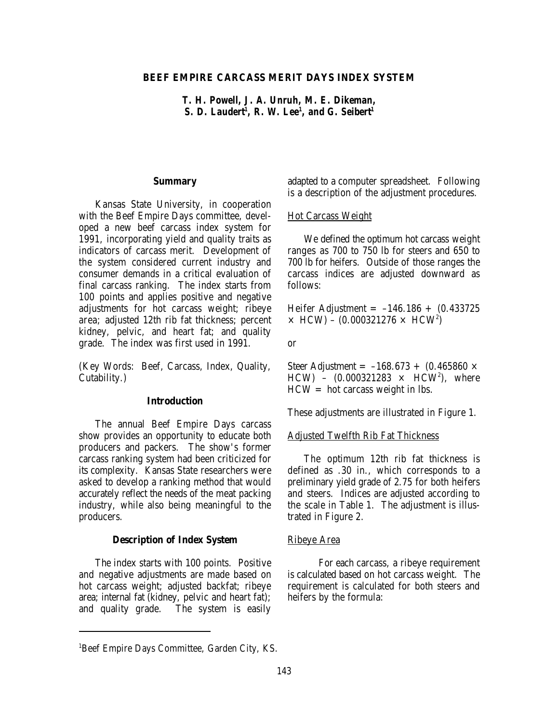## **BEEF EMPIRE CARCASS MERIT DAYS INDEX SYSTEM**

*T. H. Powell, J. A. Unruh, M. E. Dikeman, S. D. Laudert<sup>1</sup>, R. W. Lee<sup>1</sup>, and G. Seibert<sup>1</sup>* 

#### **Summary**

Kansas State University, in cooperation with the Beef Empire Days committee, developed a new beef carcass index system for 1991, incorporating yield and quality traits as indicators of carcass merit. Development of the system considered current industry and consumer demands in a critical evaluation of final carcass ranking. The index starts from 100 points and applies positive and negative adjustments for hot carcass weight; ribeye area; adjusted 12th rib fat thickness; percent kidney, pelvic, and heart fat; and quality grade. The index was first used in 1991.

(Key Words: Beef, Carcass, Index, Quality, Cutability.)

### **Introduction**

The annual Beef Empire Days carcass show provides an opportunity to educate both producers and packers. The show's former carcass ranking system had been criticized for its complexity. Kansas State researchers were asked to develop a ranking method that would accurately reflect the needs of the meat packing industry, while also being meaningful to the producers.

#### **Description of Index System**

The index starts with 100 points. Positive and negative adjustments are made based on hot carcass weight; adjusted backfat; ribeye area; internal fat (kidney, pelvic and heart fat); and quality grade. The system is easily adapted to a computer spreadsheet. Following is a description of the adjustment procedures.

#### Hot Carcass Weight

We defined the optimum hot carcass weight ranges as 700 to 750 lb for steers and 650 to 700 lb for heifers. Outside of those ranges the carcass indices are adjusted downward as follows:

Heifer Adjustment =  $-146.186 + (0.433725)$  $\times$  HCW) – (0.000321276  $\times$  HCW<sup>2</sup>)

or

Steer Adjustment =  $-168.673 + (0.465860 \times$ HCW) –  $(0.000321283 \times HCW^2)$ , where  $HCW = hot$  carcass weight in lbs.

These adjustments are illustrated in Figure 1.

#### Adjusted Twelfth Rib Fat Thickness

The optimum 12th rib fat thickness is defined as .30 in., which corresponds to a preliminary yield grade of 2.75 for both heifers and steers. Indices are adjusted according to the scale in Table 1. The adjustment is illustrated in Figure 2.

#### Ribeye Area

For each carcass, a ribeye requirement is calculated based on hot carcass weight. The requirement is calculated for both steers and heifers by the formula:

<sup>&</sup>lt;sup>1</sup>Beef Empire Days Committee, Garden City, KS.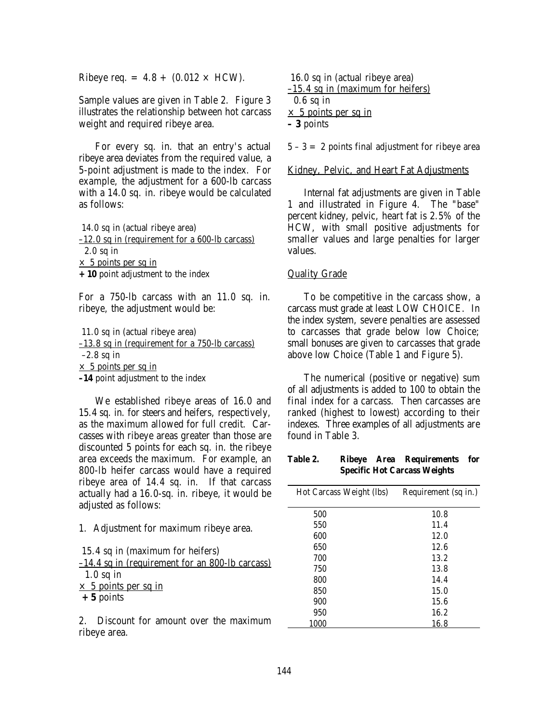Ribeye req. =  $4.8 + (0.012 \times \text{HCW})$ .

Sample values are given in Table 2. Figure 3 illustrates the relationship between hot carcass weight and required ribeye area.

For every sq. in. that an entry's actual ribeye area deviates from the required value, a 5-point adjustment is made to the index. For example, the adjustment for a 600-lb carcass with a 14.0 sq. in. ribeye would be calculated as follows:

 14.0 sq in (actual ribeye area) –12.0 sq in (requirement for a 600-lb carcass) 2.0 sq in  $\times$  5 points per sq in **+10** point adjustment to the index

For a 750-lb carcass with an 11.0 sq. in. ribeye, the adjustment would be:

11.0 sq in (actual ribeye area)

–13.8 sq in (requirement for a 750-lb carcass)  $-2.8$  sq in

 $\times$  5 points per sq in

**–14** point adjustment to the index

We established ribeye areas of 16.0 and 15.4 sq. in. for steers and heifers, respectively, as the maximum allowed for full credit. Carcasses with ribeye areas greater than those are discounted 5 points for each sq. in. the ribeye area exceeds the maximum. For example, an 800-lb heifer carcass would have a required ribeye area of 14.4 sq. in. If that carcass actually had a 16.0-sq. in. ribeye, it would be adjusted as follows:

1. Adjustment for maximum ribeye area.

15.4 sq in (maximum for heifers)

–14.4 sq in (requirement for an 800-lb carcass) 1.0 sq in

 $\times$  5 points per sq in

 **+5** points

2. Discount for amount over the maximum ribeye area.

16.0 sq in (actual ribeye area)

 $-15.4$  sq in (maximum for heifers) 0.6 sq in  $\times$  5 points per sq in

**– 3** points

 $5 - 3 = 2$  points final adjustment for ribeye area

#### Kidney, Pelvic, and Heart Fat Adjustments

Internal fat adjustments are given in Table 1 and illustrated in Figure 4. The "base" percent kidney, pelvic, heart fat is 2.5% of the HCW, with small positive adjustments for smaller values and large penalties for larger values.

#### Quality Grade

To be competitive in the carcass show, a carcass must grade at least LOW CHOICE. In the index system, severe penalties are assessed to carcasses that grade below low Choice; small bonuses are given to carcasses that grade above low Choice (Table 1 and Figure 5).

The numerical (positive or negative) sum of all adjustments is added to 100 to obtain the final index for a carcass. Then carcasses are ranked (highest to lowest) according to their indexes. Three examples of all adjustments are found in Table 3.

#### **Table 2. Ribeye Area Requirements for Specific Hot Carcass Weights**

| Hot Carcass Weight (lbs) | Requirement (sq in.) |  |  |
|--------------------------|----------------------|--|--|
| 500                      | 10.8                 |  |  |
| 550                      | 11.4                 |  |  |
| 600                      | 12.0                 |  |  |
| 650                      | 12.6                 |  |  |
| 700                      | 13.2                 |  |  |
| 750                      | 13.8                 |  |  |
| 800                      | 14.4                 |  |  |
| 850                      | 15.0                 |  |  |
| 900                      | 15.6                 |  |  |
| 950                      | 16.2                 |  |  |
| 1000                     | 16.8                 |  |  |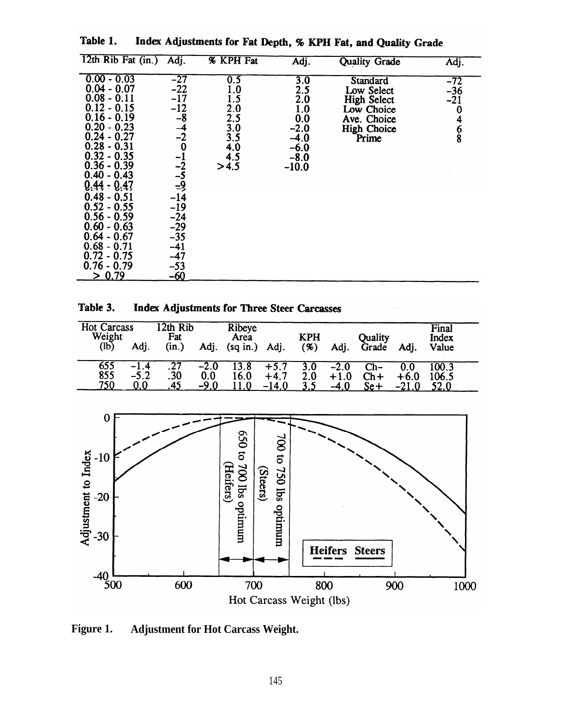| 12th Rib Fat (in.)                                                                                                                                                                                                                                                                                                                                         | Adj.                                                                                                                                                                             | <b>% KPH Fat</b>                                                    | Adj.                                                                               | <b>Quality Grade</b>                                                                                     | Adj.                                                      |
|------------------------------------------------------------------------------------------------------------------------------------------------------------------------------------------------------------------------------------------------------------------------------------------------------------------------------------------------------------|----------------------------------------------------------------------------------------------------------------------------------------------------------------------------------|---------------------------------------------------------------------|------------------------------------------------------------------------------------|----------------------------------------------------------------------------------------------------------|-----------------------------------------------------------|
| $0.00 - 0.03$<br>$0.04 - 0.07$<br>$0.08 - 0.11$<br>$0.12 - 0.15$<br>$0.16 - 0.19$<br>$0.20 - 0.23$<br>$0.24 - 0.27$<br>$0.28 - 0.31$<br>$0.32 - 0.35$<br>$0.36 - 0.39$<br>$0.40 - 0.43$<br>$0.44 - 0.47$<br>$0.48 - 0.51$<br>$0.52 - 0.55$<br>$0.56 - 0.59$<br>$0.60 - 0.63$<br>$0.64 - 0.67$<br>$0.68 - 0.71$<br>$0.72 - 0.75$<br>$0.76 - 0.79$<br>> 0.79 | $-27$<br>$-22$<br>$-17$<br>$-12$<br>-8<br>$\frac{-4}{-2}$<br>$\frac{-1}{-2}$<br>$\frac{-5}{-9}$<br>$-14$<br>$-19$<br>$-24$<br>$-29$<br>$-35$<br>$-41$<br>$-47$<br>$-53$<br>$-60$ | 0.5<br>1.0<br>1.5<br>2.0<br>2.5<br>3.0<br>3.5<br>4.0<br>4.5<br>>4.5 | 3.0<br>2.5<br>2.0<br>1.0<br>0.0<br>$-2.0$<br>$-4.0$<br>$-6.0$<br>$-8.0$<br>$-10.0$ | Standard<br>Low Select<br><b>High Select</b><br>Low Choice<br>Ave. Choice<br><b>High Choice</b><br>Prime | $-72$<br>$-36$<br>$-21$<br>$\bf{0}$<br>4<br>$\frac{6}{8}$ |

Table 1. Index Adjustments for Fat Depth, % KPH Fat, and Quality Grade

Table 3. **Index Adjustments for Three Steer Carcasses** 

| Hot Carcass<br>Weight          | 2th Rib<br>Fat              | Ribeye<br>Area         | <b>KPH</b>            | <b>Ouality</b>                   | Final<br><b>Index</b> |
|--------------------------------|-----------------------------|------------------------|-----------------------|----------------------------------|-----------------------|
| (lb)<br>Adj.                   | (in.)<br>Adj.               | $(sq$ in.)<br>Adj.     | (%)<br>Adj.           | Grade<br>Adi.                    | Value                 |
| 655<br>$-1.4$<br>855<br>$-5.2$ | .27<br>$-2.0$<br>.30<br>0.0 | 13.8<br>$+5.7$         | 3.0<br>$-2.0$         | Ch-<br>0.0<br>$\mathsf{Ch}\,+\,$ | LOO.3                 |
| 750<br>9.0 <sub>1</sub>        | -9.0                        | 16.0<br>$+4.7$<br>14.0 | 2.0<br>$+1.0$<br>-4 0 | $+6.0$<br>Se+                    | 106.5                 |



**Figure 1. Adjustment for Hot Carcass Weight.**